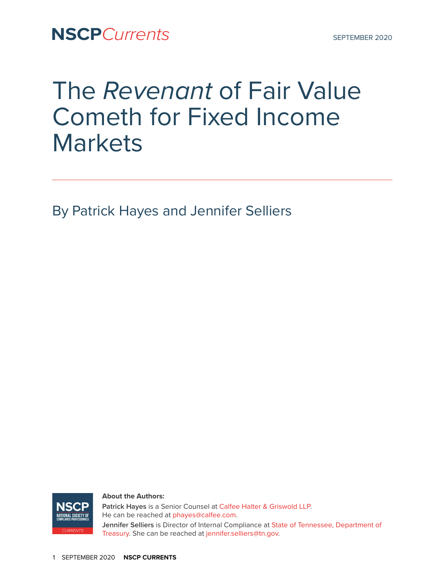**NSCP**Currents SEPTEMBER 2020

# The *Revenant* of Fair Value Cometh for Fixed Income **Markets**

By Patrick Hayes and Jennifer Selliers



**About the Authors:** 

**Patrick Hayes** is a Senior Counsel at [Calfee Halter & Griswold LLP.](http://calfee.com) He can be reached at [phayes@calfee.com.](mailto:phayes@calfee.com) **Jennifer Selliers** is Director of Internal Compliance at [State of Tennessee, Department of](http://treasury.tn.gov/)  [Treasury](http://treasury.tn.gov/). She can be reached at [jennifer.selliers@tn.gov.](mailto:jennifer.selliers@tn.gov)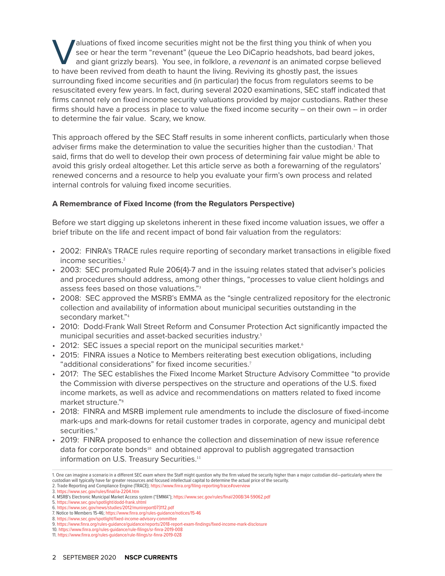I aluations of fixed income securities might not be the first thing you think of when you<br>see or hear the term "revenant" (queue the Leo DiCaprio headshots, bad beard jokes<br>and giant grizzly bears). You see, in folklore, a see or hear the term "revenant" (queue the Leo DiCaprio headshots, bad beard jokes, and giant grizzly bears). You see, in folklore, a *revenant* is an animated corpse believed to have been revived from death to haunt the living. Reviving its ghostly past, the issues surrounding fixed income securities and (in particular) the focus from regulators seems to be resuscitated every few years. In fact, during several 2020 examinations, SEC staff indicated that firms cannot rely on fixed income security valuations provided by major custodians. Rather these firms should have a process in place to value the fixed income security – on their own – in order to determine the fair value. Scary, we know.

This approach offered by the SEC Staff results in some inherent conflicts, particularly when those adviser firms make the determination to value the securities higher than the custodian.<sup>1</sup> That said, firms that do well to develop their own process of determining fair value might be able to avoid this grisly ordeal altogether. Let this article serve as both a forewarning of the regulators' renewed concerns and a resource to help you evaluate your firm's own process and related internal controls for valuing fixed income securities.

## **A Remembrance of Fixed Income (from the Regulators Perspective)**

Before we start digging up skeletons inherent in these fixed income valuation issues, we offer a brief tribute on the life and recent impact of bond fair valuation from the regulators:

- 2002: FINRA's TRACE rules require reporting of secondary market transactions in eligible fixed income securities.<sup>2</sup>
- 2003: SEC promulgated Rule 206(4)-7 and in the issuing relates stated that adviser's policies and procedures should address, among other things, "processes to value client holdings and assess fees based on those valuations."<sup>3</sup>
- 2008: SEC approved the MSRB's EMMA as the "single centralized repository for the electronic collection and availability of information about municipal securities outstanding in the secondary market."<sup>4</sup>
- 2010: Dodd-Frank Wall Street Reform and Consumer Protection Act significantly impacted the municipal securities and asset-backed securities industry.<sup>5</sup>
- 2012: SEC issues a special report on the municipal securities market.<sup>6</sup>
- 2015: FINRA issues a Notice to Members reiterating best execution obligations, including "additional considerations" for fixed income securities.<sup>7</sup>
- 2017: The SEC establishes the Fixed Income Market Structure Advisory Committee "to provide the Commission with diverse perspectives on the structure and operations of the U.S. fixed income markets, as well as advice and recommendations on matters related to fixed income market structure."<sup>8</sup>
- 2018: FINRA and MSRB implement rule amendments to include the disclosure of fixed-income mark-ups and mark-downs for retail customer trades in corporate, agency and municipal debt securities.<sup>9</sup>
- 2019: FINRA proposed to enhance the collection and dissemination of new issue reference data for corporate bonds<sup>10</sup> and obtained approval to publish aggregated transaction information on U.S. Treasury Securities.<sup>11</sup>

<sup>1.</sup> One can imagine a scenario in a different SEC exam where the Staff might question why the firm valued the security higher than a major custodian did—particularly where the custodian will typically have far greater resources and focused intellectual capital to determine the actual price of the security.

<sup>2.</sup> Trade Reporting and Compliance Engine (TRACE); https://www.finra.org/filing-reporting/trace#overview

<sup>3.</sup><https://www.sec.gov/rules/final/ia-2204.htm>

<sup>4.</sup> MSRB's Electronic Municipal Market Access system ("EMMA"); <https://www.sec.gov/rules/final/2008/34-59062.pdf>

<sup>5.</sup> <https://www.sec.gov/spotlight/dodd-frank.shtml> 6. <https://www.sec.gov/news/studies/2012/munireport073112.pdf>

<sup>7.</sup> Notice to Members 15-46;<https://www.finra.org/rules-guidance/notices/15-46>

<sup>8.</sup> <https://www.sec.gov/spotlight/fixed-income-advisory-committee>

<sup>9.</sup><https://www.finra.org/rules-guidance/guidance/reports/2018-report-exam-findings/fixed-income-mark-disclosure>

<sup>10.</sup> <https://www.finra.org/rules-guidance/rule-filings/sr-finra-2019-008> 11. <https://www.finra.org/rules-guidance/rule-filings/sr-finra-2019-028>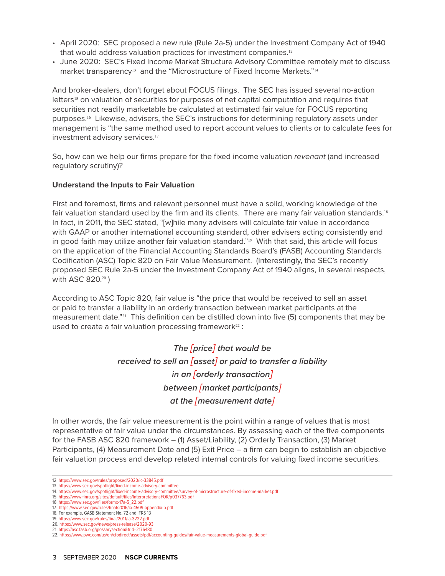- April 2020: SEC proposed a new rule (Rule 2a-5) under the Investment Company Act of 1940 that would address valuation practices for investment companies.<sup>12</sup>
- June 2020: SEC's Fixed Income Market Structure Advisory Committee remotely met to discuss market transparency<sup>13</sup> and the "Microstructure of Fixed Income Markets."<sup>14</sup>

And broker-dealers, don't forget about FOCUS filings. The SEC has issued several no-action letters<sup>15</sup> on valuation of securities for purposes of net capital computation and requires that securities not readily marketable be calculated at estimated fair value for FOCUS reporting purposes.16 Likewise, advisers, the SEC's instructions for determining regulatory assets under management is "the same method used to report account values to clients or to calculate fees for investment advisory services.<sup>17</sup>

So, how can we help our firms prepare for the fixed income valuation *revenant* (and increased regulatory scrutiny)?

#### **Understand the Inputs to Fair Valuation**

First and foremost, firms and relevant personnel must have a solid, working knowledge of the fair valuation standard used by the firm and its clients. There are many fair valuation standards.<sup>18</sup> In fact, in 2011, the SEC stated, "[w]hile many advisers will calculate fair value in accordance with GAAP or another international accounting standard, other advisers acting consistently and in good faith may utilize another fair valuation standard."19 With that said, this article will focus on the application of the Financial Accounting Standards Board's (FASB) Accounting Standards Codification (ASC) Topic 820 on Fair Value Measurement. (Interestingly, the SEC's recently proposed SEC Rule 2a-5 under the Investment Company Act of 1940 aligns, in several respects, with ASC 820.<sup>20</sup>)

According to ASC Topic 820, fair value is "the price that would be received to sell an asset or paid to transfer a liability in an orderly transaction between market participants at the measurement date."<sup>21</sup> This definition can be distilled down into five (5) components that may be used to create a fair valuation processing framework<sup>22</sup> :

> *The [price] that would be received to sell an [asset] or paid to transfer a liability in an [orderly transaction] between [market participants] at the [measurement date]*

In other words, the fair value measurement is the point within a range of values that is most representative of fair value under the circumstances. By assessing each of the five components for the FASB ASC 820 framework – (1) Asset/Liability, (2) Orderly Transaction, (3) Market Participants, (4) Measurement Date and (5) Exit Price – a firm can begin to establish an objective fair valuation process and develop related internal controls for valuing fixed income securities.

<sup>12.</sup> <https://www.sec.gov/rules/proposed/2020/ic-33845.pdf>

<sup>13.</sup> <https://www.sec.gov/spotlight/fixed-income-advisory-committee> 14. <https://www.sec.gov/spotlight/fixed-income-advisory-committee/survey-of-microstructure-of-fixed-income-market.pdf>

<sup>15.</sup> <https://www.finra.org/sites/default/files/InterpretationsFOR/p037763.pdf>

<sup>16.</sup> [https://www.sec.gov/files/formx-17a-5\\_22.pdf](https://www.sec.gov/files/formx-17a-5_22.pdf)

<sup>17.</sup> <https://www.sec.gov/rules/final/2016/ia-4509-appendix-b.pdf> 18. For example, GASB Statement No. 72 and IFRS 13

<sup>19.</sup> <https://www.sec.gov/rules/final/2011/ia-3222.pdf>

<sup>20.</sup> <https://www.sec.gov/news/press-release/2020-93>

<sup>21.</sup> <https://asc.fasb.org/glossarysection&trid=2176480>

<sup>22.</sup> <https://www.pwc.com/us/en/cfodirect/assets/pdf/accounting-guides/fair-value-measurements-global-guide.pdf>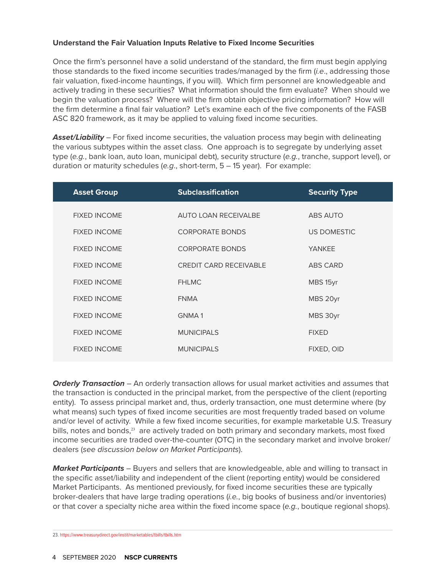## **Understand the Fair Valuation Inputs Relative to Fixed Income Securities**

Once the firm's personnel have a solid understand of the standard, the firm must begin applying those standards to the fixed income securities trades/managed by the firm (*i.e*., addressing those fair valuation, fixed-income hauntings, if you will). Which firm personnel are knowledgeable and actively trading in these securities? What information should the firm evaluate? When should we begin the valuation process? Where will the firm obtain objective pricing information? How will the firm determine a final fair valuation? Let's examine each of the five components of the FASB ASC 820 framework, as it may be applied to valuing fixed income securities.

*Asset/Liability* – For fixed income securities, the valuation process may begin with delineating the various subtypes within the asset class. One approach is to segregate by underlying asset type (*e.g.*, bank loan, auto loan, municipal debt), security structure (*e.g.*, tranche, support level), or duration or maturity schedules (*e.g*., short-term, 5 – 15 year). For example:

| <b>Asset Group</b>  | <b>Subclassification</b>      | <b>Security Type</b> |
|---------------------|-------------------------------|----------------------|
| <b>FIXED INCOME</b> | AUTO LOAN RECEIVALBE          | ABS AUTO             |
| <b>FIXED INCOME</b> | <b>CORPORATE BONDS</b>        | <b>US DOMESTIC</b>   |
| <b>FIXED INCOME</b> | <b>CORPORATE BONDS</b>        | <b>YANKEE</b>        |
| <b>FIXED INCOME</b> | <b>CREDIT CARD RECEIVABLE</b> | ABS CARD             |
| <b>FIXED INCOME</b> | <b>FHLMC</b>                  | MBS 15yr             |
| <b>FIXED INCOME</b> | <b>FNMA</b>                   | MBS 20yr             |
| <b>FIXED INCOME</b> | <b>GNMA1</b>                  | MBS 30yr             |
| <b>FIXED INCOME</b> | <b>MUNICIPALS</b>             | <b>FIXED</b>         |
| <b>FIXED INCOME</b> | <b>MUNICIPALS</b>             | FIXED, OID           |

*Orderly Transaction* – An orderly transaction allows for usual market activities and assumes that the transaction is conducted in the principal market, from the perspective of the client (reporting entity). To assess principal market and, thus, orderly transaction, one must determine where (by what means) such types of fixed income securities are most frequently traded based on volume and/or level of activity. While a few fixed income securities, for example marketable U.S. Treasury bills, notes and bonds,<sup>23</sup> are actively traded on both primary and secondary markets, most fixed income securities are traded over-the-counter (OTC) in the secondary market and involve broker/ dealers (*see discussion below on Market Participants*).

*Market Participants* – Buyers and sellers that are knowledgeable, able and willing to transact in the specific asset/liability and independent of the client (reporting entity) would be considered Market Participants. As mentioned previously, for fixed income securities these are typically broker-dealers that have large trading operations (*i.e.*, big books of business and/or inventories) or that cover a specialty niche area within the fixed income space (*e.g.*, boutique regional shops).

23. <https://www.treasurydirect.gov/instit/marketables/tbills/tbills.htm>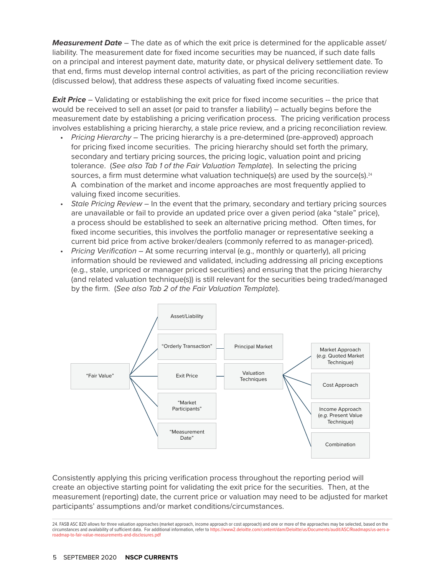*Measurement Date* – The date as of which the exit price is determined for the applicable asset/ liability. The measurement date for fixed income securities may be nuanced, if such date falls on a principal and interest payment date, maturity date, or physical delivery settlement date. To that end, firms must develop internal control activities, as part of the pricing reconciliation review (discussed below), that address these aspects of valuating fixed income securities.

**Exit Price** – Validating or establishing the exit price for fixed income securities -- the price that would be received to sell an asset (or paid to transfer a liability) – actually begins before the measurement date by establishing a pricing verification process. The pricing verification process involves establishing a pricing hierarchy, a stale price review, and a pricing reconciliation review.

- *Pricing Hierarchy* The pricing hierarchy is a pre-determined (pre-approved) approach for pricing fixed income securities. The pricing hierarchy should set forth the primary, secondary and tertiary pricing sources, the pricing logic, valuation point and pricing tolerance. (*See also Tab 1 of the Fair Valuation Template*). In selecting the pricing sources, a firm must determine what valuation technique(s) are used by the source(s). $^{24}$  A combination of the market and income approaches are most frequently applied to valuing fixed income securities.
- *Stale Pricing Review* In the event that the primary, secondary and tertiary pricing sources are unavailable or fail to provide an updated price over a given period (aka "stale" price), a process should be established to seek an alternative pricing method. Often times, for fixed income securities, this involves the portfolio manager or representative seeking a current bid price from active broker/dealers (commonly referred to as manager-priced).
- *Pricing Verification* At some recurring interval (e.g., monthly or quarterly), all pricing information should be reviewed and validated, including addressing all pricing exceptions (e.g., stale, unpriced or manager priced securities) and ensuring that the pricing hierarchy (and related valuation technique(s)) is still relevant for the securities being traded/managed by the firm. (*See also Tab 2 of the Fair Valuation Template*).



Consistently applying this pricing verification process throughout the reporting period will create an objective starting point for validating the exit price for the securities. Then, at the measurement (reporting) date, the current price or valuation may need to be adjusted for market participants' assumptions and/or market conditions/circumstances.

24. FASB ASC 820 allows for three valuation approaches (market approach, income approach or cost approach) and one or more of the approaches may be selected, based on the circumstances and availability of sufficient data. For additional information, refer to https://www2.deloitte.com/content/dam/Deloitte/us/Documents/audit/ASC/Roadmaps/us-a [roadmap-to-fair-value-measurements-and-disclosures.pdf](https://www2.deloitte.com/content/dam/Deloitte/us/Documents/audit/ASC/Roadmaps/us-aers-a-roadmap-to-fair-value-measurements-and-disclosures.pd)